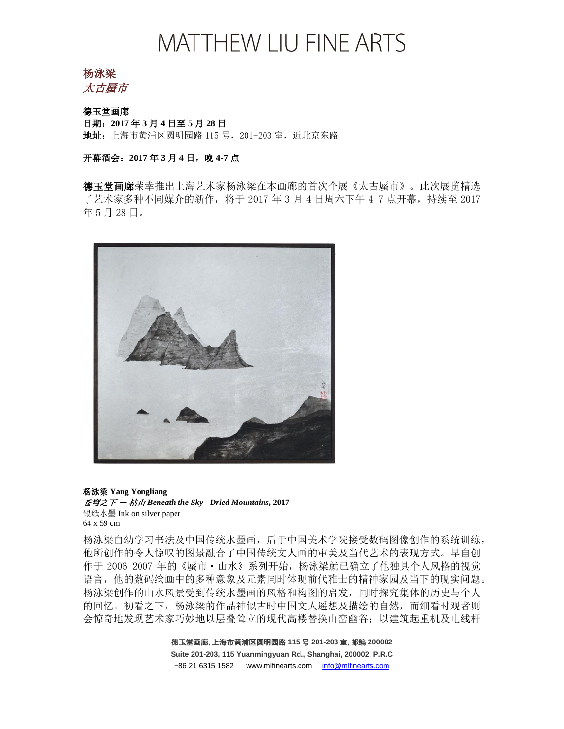杨泳梁 太古蜃市

德玉堂画廊 日期:**2017** 年 **3** 月 **4** 日至 **5** 月 **28** 日 地址: 上海市黄浦区圆明园路 115 号, 201-203 室, 近北京东路

开幕酒会: 2017年3月4日,晚4-7点

德玉堂画廊荣幸推出上海艺术家杨泳梁在本画廊的首次个展《太古蜃市》。此次展览精选 了艺术家多种不同媒介的新作,将于 2017 年 3 月 4 日周六下午 4-7 点开幕,持续至 2017 年 5 月 28 日。



杨泳梁 **Yang Yongliang** 苍穹之下 - 枯山 *Beneath the Sky - Dried Mountains***, 2017** 银纸水墨 Ink on silver paper 64 x 59 cm

杨泳梁自幼学习书法及中国传统水墨画,后于中国美术学院接受数码图像创作的系统训练, 他所创作的令人惊叹的图景融合了中国传统文人画的审美及当代艺术的表现方式。早自创 作于 2006-2007 年的《蜃市•山水》系列开始,杨泳梁就已确立了他独具个人风格的视觉 语言,他的数码绘画中的多种意象及元素同时体现前代雅士的精神家园及当下的现实问题。 杨泳梁创作的山水风景受到传统水墨画的风格和构图的启发,同时探究集体的历史与个人 的回忆。初看之下,杨泳梁的作品神似古时中国文人遥想及描绘的自然,而细看时观者则 会惊奇地发现艺术家巧妙地以层叠耸立的现代高楼替换山峦幽谷;以建筑起重机及电线杆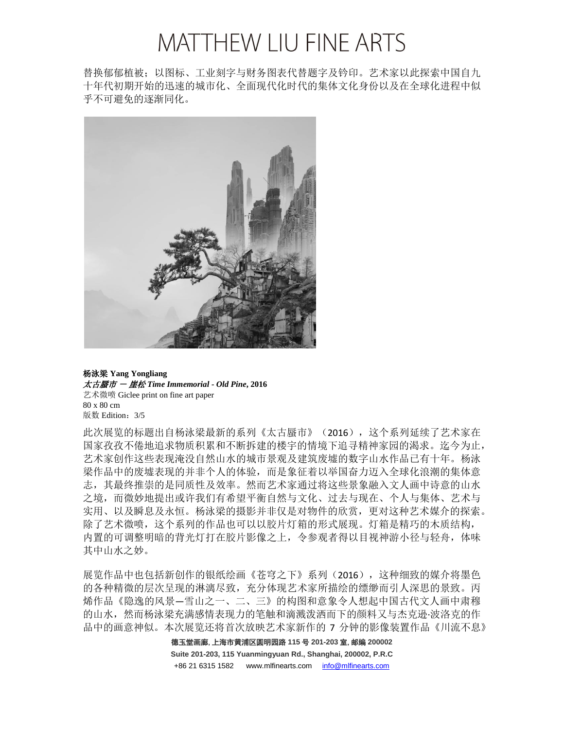替换郁郁植被;以图标、工业刻字与财务图表代替题字及钤印。艺术家以此探索中国自九 十年代初期开始的迅速的城市化、全面现代化时代的集体文化身份以及在全球化进程中似 乎不可避免的逐渐同化。



杨泳梁 **Yang Yongliang** 太古蜃市 - 崖松 *Time Immemorial - Old Pine***, 2016** 艺术微喷 Giclee print on fine art paper 80 x 80 cm 版数 Edition: 3/5

此次展览的标题出自杨泳梁最新的系列《太古蜃市》(2016),这个系列延续了艺术家在 国家孜孜不倦地追求物质积累和不断拆建的楼宇的情境下追寻精神家园的渴求。迄今为止, 艺术家创作这些表现淹没自然山水的城市景观及建筑废墟的数字山水作品已有十年。杨泳 梁作品中的废墟表现的并非个人的体验,而是象征着以举国奋力迈入全球化浪潮的集体意 志,其最终推崇的是同质性及效率。然而艺术家通过将这些景象融入文人画中诗意的山水 之境,而微妙地提出或许我们有希望平衡自然与文化、过去与现在、个人与集体、艺术与 实用、以及瞬息及永恒。杨泳梁的摄影并非仅是对物件的欣赏,更对这种艺术媒介的探索。 除了艺术微喷,这个系列的作品也可以以胶片灯箱的形式展现。灯箱是精巧的木质结构, 内置的可调整明暗的背光灯打在胶片影像之上,令参观者得以目视神游小径与轻舟,体味 其中山水之妙。

展览作品中也包括新创作的银纸绘画《苍穹之下》系列(2016), 这种细致的媒介将墨色 的各种精微的层次呈现的淋漓尽致,充分体现艺术家所描绘的缥缈而引人深思的景致。丙 烯作品《隐逸的风景—雪山之一、二、三》的构图和意象令人想起中国古代文人画中肃穆 的山水,然而杨泳梁充满感情表现力的笔触和滴溅泼洒而下的颜料又与杰克逊·波洛克的作 品中的画意神似。本次展览还将首次放映艺术家新作的 7 分钟的影像装置作品《川流不息》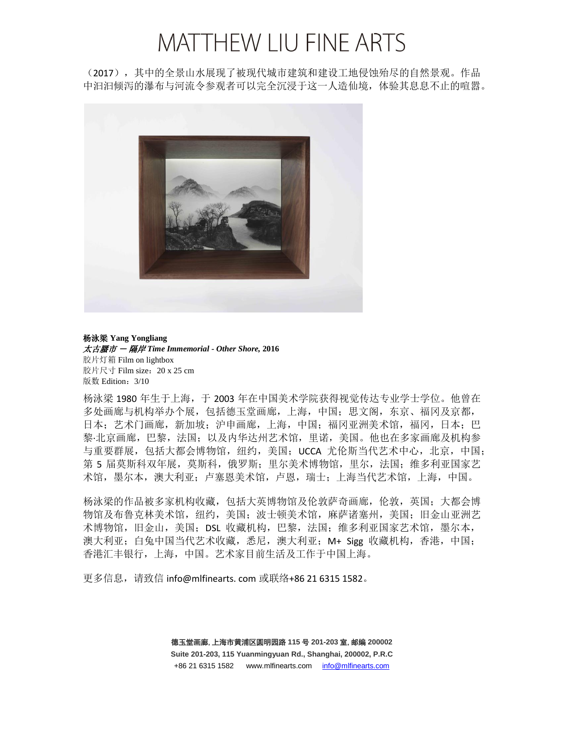(2017),其中的全景山水展现了被现代城市建筑和建设工地侵蚀殆尽的自然景观。作品 中汩汩倾泻的瀑布与河流令参观者可以完全沉浸于这一人造仙境,体验其息息不止的喧嚣。



杨泳梁 **Yang Yongliang** 太古蜃市 - 隔岸 *Time Immemorial - Other Shore,* **2016** 胶片灯箱 Film on lightbox 胶片尺寸 Film size: 20 x 25 cm 版数 Edition:3/10

杨泳梁 1980 年生于上海,于 2003 年在中国美术学院获得视觉传达专业学士学位。他曾在 多处画廊与机构举办个展,包括德玉堂画廊,上海,中国;思文阁,东京、福冈及京都, 日本;艺术门画廊,新加坡;沪申画廊,上海,中国;福冈亚洲美术馆,福冈,日本;巴 黎·北京画廊,巴黎,法国;以及内华达州艺术馆,里诺,美国。他也在多家画廊及机构参 与重要群展,包括大都会博物馆,纽约,美国; UCCA 尤伦斯当代艺术中心, 北京, 中国; 第 5 届莫斯科双年展,莫斯科,俄罗斯; 里尔美术博物馆,里尔,法国; 维多利亚国家艺 术馆,墨尔本,澳大利亚;卢塞恩美术馆,卢恩,瑞士;上海当代艺术馆,上海,中国。

杨泳梁的作品被多家机构收藏,包括大英博物馆及伦敦萨奇画廊,伦敦,英国;大都会博 物馆及布鲁克林美术馆, 纽约, 美国; 波士顿美术馆, 麻萨诸塞州, 美国; 旧金山亚洲艺 术博物馆,旧金山,美国;DSL 收藏机构,巴黎,法国;维多利亚国家艺术馆,墨尔本, 澳大利亚;白兔中国当代艺术收藏,悉尼,澳大利亚;M+ Sigg 收藏机构,香港,中国; 香港汇丰银行,上海,中国。艺术家目前生活及工作于中国上海。

更多信息,请致信 info@mlfinearts. com 或联络+86 21 6315 1582。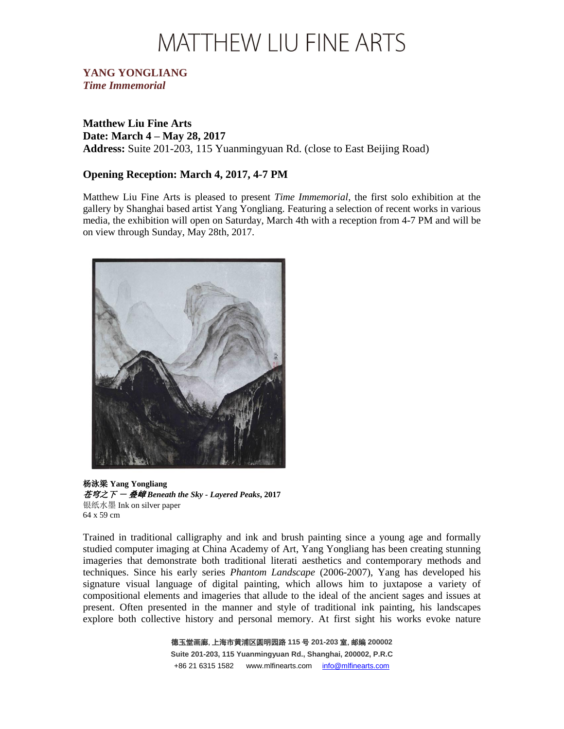#### **YANG YONGLIANG** *Time Immemorial*

**Matthew Liu Fine Arts Date: March 4 – May 28, 2017 Address:** Suite 201-203, 115 Yuanmingyuan Rd. (close to East Beijing Road)

#### **Opening Reception: March 4, 2017, 4-7 PM**

Matthew Liu Fine Arts is pleased to present *Time Immemorial*, the first solo exhibition at the gallery by Shanghai based artist Yang Yongliang. Featuring a selection of recent works in various media, the exhibition will open on Saturday, March 4th with a reception from 4-7 PM and will be on view through Sunday, May 28th, 2017.



杨泳梁 **Yang Yongliang** 苍穹之下 - 叠嶂 *Beneath the Sky - Layered Peaks***, 2017** 银纸水墨 Ink on silver paper 64 x 59 cm

Trained in traditional calligraphy and ink and brush painting since a young age and formally studied computer imaging at China Academy of Art, Yang Yongliang has been creating stunning imageries that demonstrate both traditional literati aesthetics and contemporary methods and techniques. Since his early series *Phantom Landscape* (2006-2007), Yang has developed his signature visual language of digital painting, which allows him to juxtapose a variety of compositional elements and imageries that allude to the ideal of the ancient sages and issues at present. Often presented in the manner and style of traditional ink painting, his landscapes explore both collective history and personal memory. At first sight his works evoke nature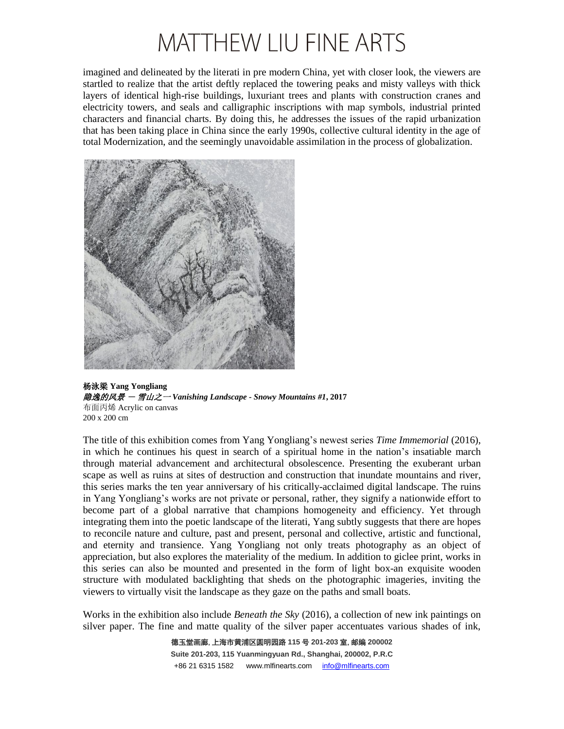imagined and delineated by the literati in pre modern China, yet with closer look, the viewers are startled to realize that the artist deftly replaced the towering peaks and misty valleys with thick layers of identical high-rise buildings, luxuriant trees and plants with construction cranes and electricity towers, and seals and calligraphic inscriptions with map symbols, industrial printed characters and financial charts. By doing this, he addresses the issues of the rapid urbanization that has been taking place in China since the early 1990s, collective cultural identity in the age of total Modernization, and the seemingly unavoidable assimilation in the process of globalization.



杨泳梁 **Yang Yongliang** 隐逸的风景 - 雪山之一 *Vanishing Landscape - Snowy Mountains #1***, 2017** 布面丙烯 Acrylic on canvas 200 x 200 cm

The title of this exhibition comes from Yang Yongliang's newest series *Time Immemorial* (2016), in which he continues his quest in search of a spiritual home in the nation's insatiable march through material advancement and architectural obsolescence. Presenting the exuberant urban scape as well as ruins at sites of destruction and construction that inundate mountains and river, this series marks the ten year anniversary of his critically-acclaimed digital landscape. The ruins in Yang Yongliang's works are not private or personal, rather, they signify a nationwide effort to become part of a global narrative that champions homogeneity and efficiency. Yet through integrating them into the poetic landscape of the literati, Yang subtly suggests that there are hopes to reconcile nature and culture, past and present, personal and collective, artistic and functional, and eternity and transience. Yang Yongliang not only treats photography as an object of appreciation, but also explores the materiality of the medium. In addition to giclee print, works in this series can also be mounted and presented in the form of light box-an exquisite wooden structure with modulated backlighting that sheds on the photographic imageries, inviting the viewers to virtually visit the landscape as they gaze on the paths and small boats.

Works in the exhibition also include *Beneath the Sky* (2016), a collection of new ink paintings on silver paper. The fine and matte quality of the silver paper accentuates various shades of ink,